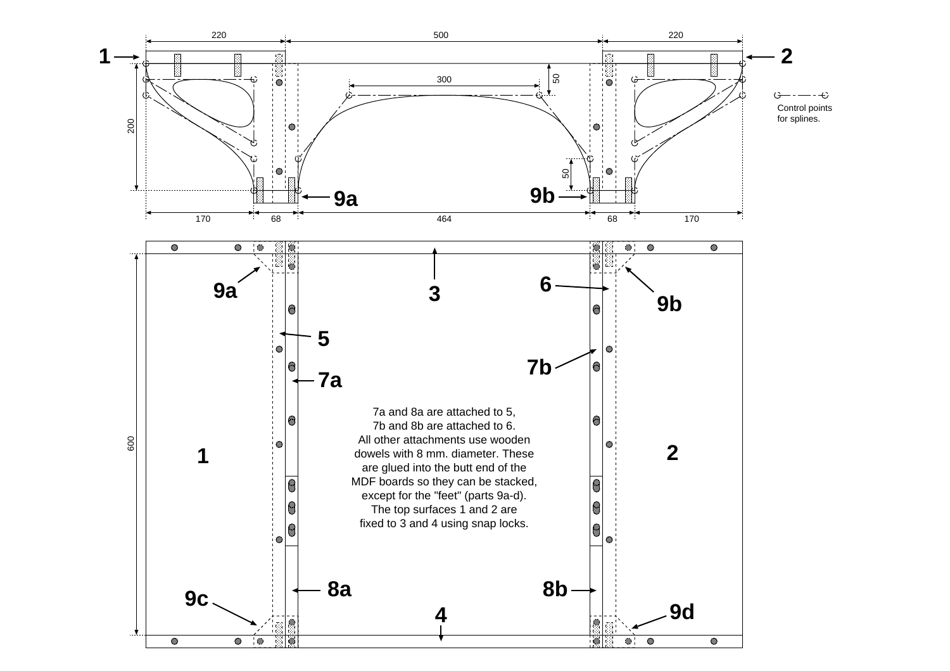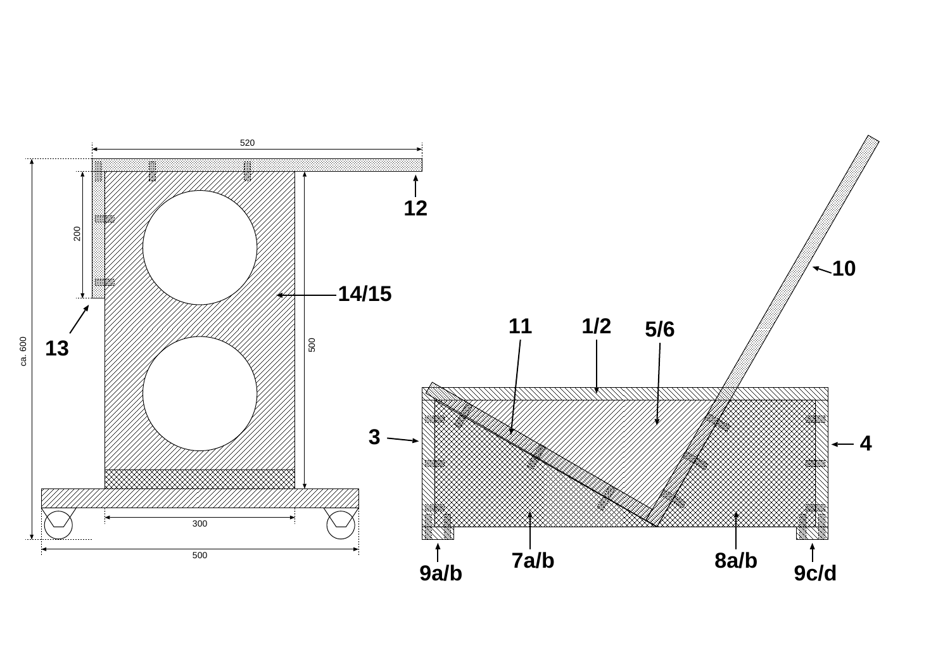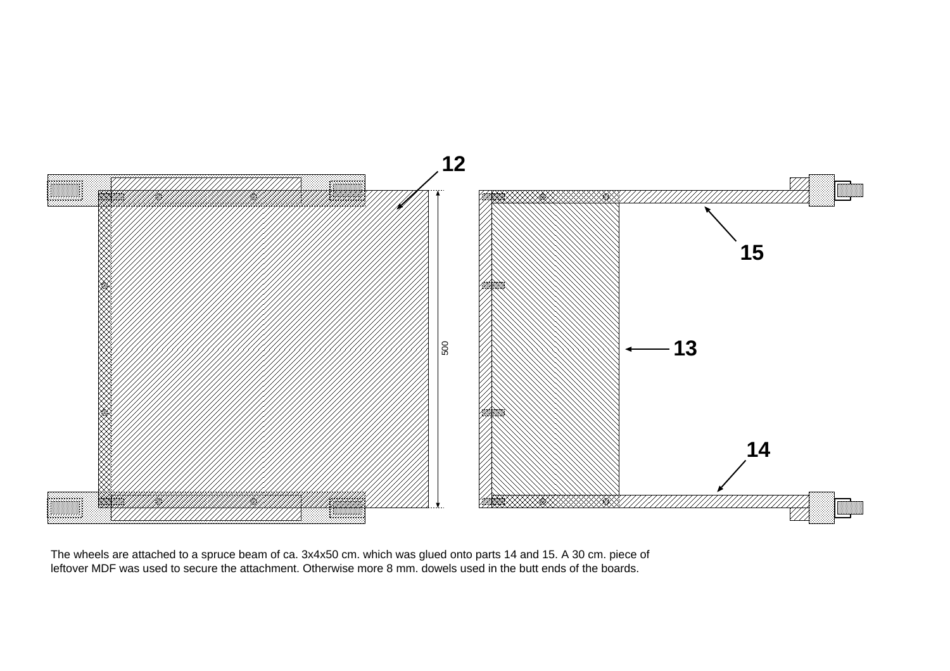

The wheels are attached to a spruce beam of ca. 3x4x50 cm. which was glued onto parts 14 and 15. A 30 cm. piece of leftover MDF was used to secure the attachment. Otherwise more 8 mm. dowels used in the butt ends of the boards.